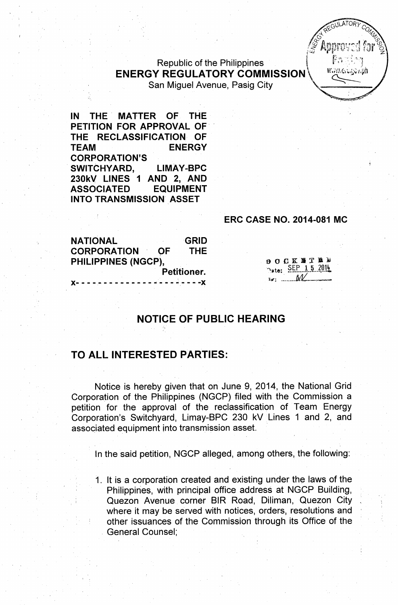Republic of the Philippines Figure 1 and the Philippines I figure 1 and the Military of the Taylor 1 and the Military 1 and the Military 1 and the Military 1 and the Military 1 and the Military 1 and Taylor 1 and Taylor 1 ENERGY REGULATORY COMMISSION<sup>\*</sup> San Miguel Avenue, Pasig City

IN THE' MATTER OF THE PETITION FOR APPROVAL OF THE RECLASSIFICATION OF TEAM ENERGY CORPORATION'S SWITCHYARD, LIMAY-BPC 230kV liNES 1 AND 2, AND ASSOCIATED EQUIPMENT INTO TRANSMISSION' ASSET

## ERC CASE NO. 2014-081 MC

OOCKNTRE SEP 15 2014

 $\mathbb{N}: \dots \mathbb{N}$ 

 $R^{E^{G[1]} \mathcal{A}^{I^{\prime}} \mathcal{O}^{I^{\prime}} \mathcal{C}^{I^{\prime}}_{Q_{\mathcal{A}},P_{\mathcal{C}}}$  $\star$   $\sim$  $\sqrt{\mathcal{E}}_n$ ,  $\sqrt{\mathcal{E}}_n$  $\mathscr{L}$  Approved for  $\mathscr{C}$ 'i.J.J .":;y&'l. *~,t: ,i"* "",d <sup>t</sup> -'.' -?  $^{4}$   $^{1}$   $^{1}$   $^{2}$ 

NATIONAL **GRID** CORPORATION 'OF THE PHiliPPINES (NGCP), Petitioner. )(- - - - - - - - - - - - - - - - - - ~,-- - -)(

# NOTICE OF PUBLIC HEARING

## TO ALL INTERESTED PARTIES:

Notice is hereby given that on June 9, 2014, the National Grid Corporation of the Philippines (NGCP) filed with the Commission a petition for the approval of the reclassification of Team Energy Corporation's Switchyard, Limay-BPC 230 kV Lines 1 and 2, and assoqiated equipment into transmission asset.

In the said petition, NGCP alleged, among others, the following:

1. It is a corporation created and existing under the laws of the Philippines, with principal office address at NGCP Building, Quezon Avenue corner BIR Road, Diliman, Quezon City where it may be served with notices, orders, resolutions and other issuances of the Commission through its Office of the General Counsel;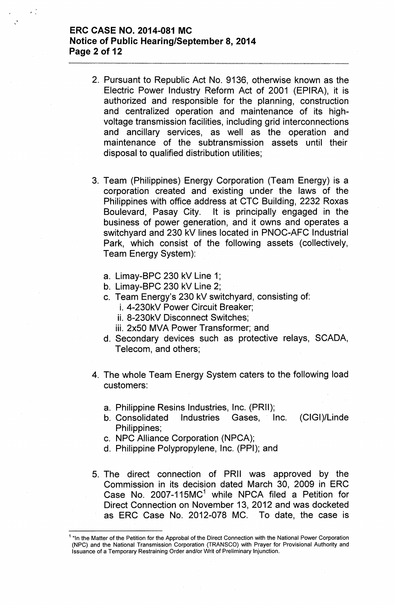## ERC CASE NO. 2014-081 MC Notice of Public Hearing/September 8, 2014 Page 2 of 12

- 2. Pursuant to Republic Act No. 9136, otherwise known as the Electric Power Industry Reform Act of 2001 (EPIRA), it is authorized and responsible for the planning, construction and centralized operation and maintenance of its highvoltage transmission facilities, including grid interconnections and ancillary services, as well as the operation and maintenance of the subtransmission assets until their disposal to qualified distribution utilities;
- 3. Team (Philippines) Energy Corporation (Team Energy) is a corporation created and existing under the laws of the Philippines with office address at CTC Building, 2232 Roxas Boulevard, Pasay City. It is principally engaged in the business of power generation, and it owns and operates a switchyard and 230 kV lines located in PNOC-AFC Industrial Park, which consist of the following assets (collectively, Team Energy System):
	- a. Limay-BPC 230 kV Line 1;
	- b. Limay-BPC 230 kV Line 2;
	- c. Team Energy's 230 kV switchyard, consisting of:
		- i. 4-230kV Power Circuit Breaker;
		- ii. 8-230kV Disconnect Switches;
		- iii. 2x50 MVA Power Transformer; and
	- d. Secondary devices such as protective relays, SCADA, Telecom, and others;
- 4. The whole Team Energy System caters to the following load customers:
	- a. Philippine Resins Industries, Inc. (PRII);
	- b. Consolidated Industries Gases, Inc. (CIGI)/Linde Philippines;
	- c. NPC Alliance Corporation (NPCA);
	- d. Philippine Polypropylene, Inc. (PPI); and
- 5. The direct connection of PRII was approved by the Commission in its decision dated March 30, 2009 in ERC Case No. 2007-115MC $<sup>1</sup>$  while NPCA filed a Petition for</sup> Direct Connection on November 13, 2012 and was docketed as ERC Case No. 2012-078 MC. To date, the case is

<sup>&</sup>lt;sup>1</sup> "In the Matter of the Petition for the Approbal of the Direct Connection with the National Power Corporation (NPC) and the National Transmission Corporation (TRANSCO) with Prayer for Provisional Authority and Issuance of a Temporary Restraining Order and/or Writ of Preliminary Injunction.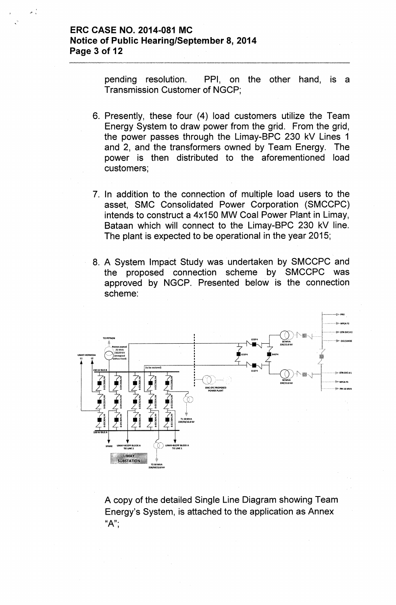pending resolution. PPI, on the other hand, is a Transmission Customer of NGCP;

- 6. Presently, these four (4) load customers utilize the Team Energy System to draw power from the grid. From the grid, the power passes through the Limay-BPC 230 kV Lines 1 and 2, and the transformers owned by Team Energy. The power is then distributed to the aforementioned load customers;
- 7. In addition to the connection of multiple load users to the asset, SMC Consolidated Power Corporation (SMCCPC) intends to construct a 4x150 MW Coal Power Plant in Limay, Bataan which will connect to the Limay-BPC 230 kV line. The plant is expected to be operational in the year 2015;
- 8. A System Impact Study was undertaken by SMCCPC and the proposed connection scheme by SMCCPC was approved by NGCP. Presented below is the connection scheme:



A copy of the detailed Single Line Diagram showing Team Energy's System, is attached to the application as Annex " $A$ ";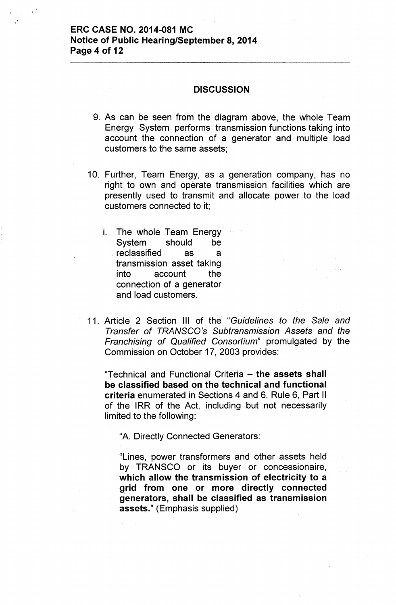. ,

### **DISCUSSION**

- 9. As can be seen from the diagram above, the whole Team Energy System performs transmission functions taking into account the connection of a generator and multiple load customers to the same assets;
- 10. Further, Team Energy, as a generation company, has no right to own and operate transmission facilities which are presently used to transmit and allocate power to the load customers connected to it;
	- i. The whole Team Energy System should be reclassified as a transmission asset taking into account the connection of a generator and load customers.
- 11. Article 2 Section III of the *"Guidelines to the Sale and Transfer of TRANSCO's Subtransmission Assets and the Franchising of Qualified Consortium"* promulgated by the Commission on October 17,2003 provides:

"Technical and Functional Criteria - the assets shall be classified based on the technical and functional criteria enumerated in Sections 4 and 6, Rule 6, Part II of the IRR of the Act, including but not necessarily limited to the following:

"A. Directly Connected Generators:

"Lines, power transformers and other assets held by TRANSCO or its buyer or concessionaire, which allow the transmission of electricity to a grid from one or more directly connected generators, shall be classified as transmission assets." (Emphasis supplied)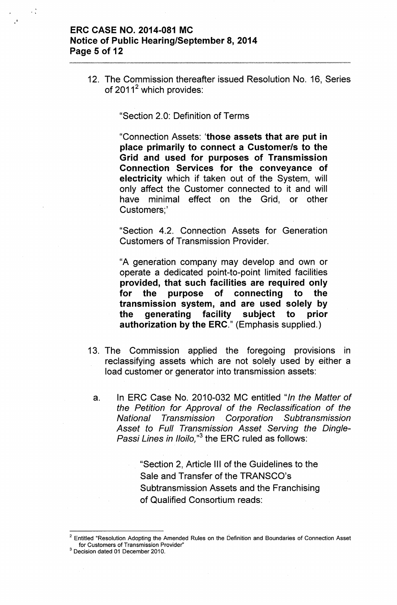## ERC CASE NO. 2014-081 MC Notice of Public Hearing/September 8, 2014 Page 5 of 12

. ,

12. The Commission thereafter issued Resolution No. 16, Series of  $2011^2$  which provides:

"Section 2.0: Definition of Terms

"Connection Assets: 'those assets that are put in place primarily to connect a Customer/s to the Grid and used for purposes of Transmission Connection Services for the conveyance of electricity which if taken out of the System, will only affect the Customer connected to it and will have minimal effect on the Grid, or other Customers;'

"Section 4.2. Connection Assets for Generation Customers of Transmission Provider.

"A generation company may develop and own or operate a dedicated point-to-point limited facilities provided, that such facilities are required only for the purpose of connecting to the transmission system, and are used solely by the generating facility subject to prior authorization by the ERC." (Emphasis supplied.)

- 13. The Commission applied the foregoing provisions in reclassifying assets which are not solely used by either a load customer or generator into transmission assets:
	- a. In ERC Case No. 2010-032 MC entitled *"In the Matter of the Petition for Approval of the Reclassification of the National Transmission Corporation Sub transmission Asset to Full Transmission Asset Serving the Dingle-Passi Lines in Iloilo*,"<sup>3</sup> the ERC ruled as follows:

"Section 2, Article III of the Guidelines to the Sale and Transfer of the TRANSCQ's Subtransmission Assets and the Franchising of Qualified Consortium reads:

 $2$  Entitled "Resolution Adopting the Amended Rules on the Definition and Boundaries of Connection Asset for Customers of Transmission Provider"

 $3$  Decision dated 01 December 2010.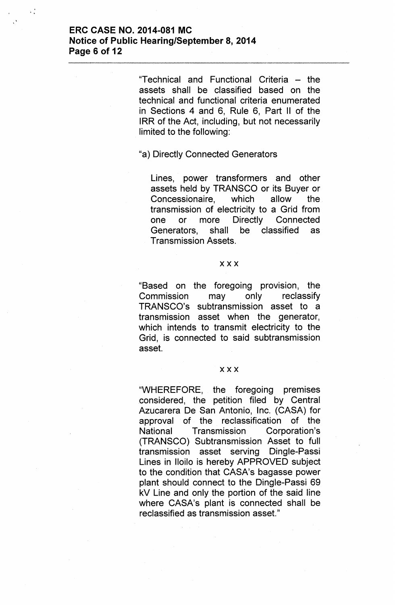## **ERC CASE NO. 2014-081 MC Notice of Public Hearing/September 8, 2014 Page 6 of 12**

"Technical and Functional Criteria - the assets shall be classified based on the technical and functional criteria enumerated in Sections 4 and 6, Rule 6, Part II of the IRR of the Act, including, but not necessarily limited to the following:

### "a) Directly Connected Generators

Lines, power transformers and other assets held by TRANSCO or its Buyer or Concessionaire, which allow the transmission of electricity to a Grid from one or more Directly Connected Generators, shall be classified as Transmission Assets.

#### xxx

"Based on the foregoing provision, the Commission may only reclassify TRANSCO's subtransmission asset to a transmission asset when the generator, which intends to transmit electricity to the Grid, is connected to said subtransmission asset.

#### xxx

"WHEREFORE, the foregoing premises considered, the petition filed by Central Azucarera De San Antonio, Inc. (CASA) for approval of the reclassification of the National Transmission Corporation's (TRANSCO) Subtransmission Asset to full transmission asset serving Dingle-Passi Lines in Iloilo is hereby APPROVED subject to the condition that CASA's bagasse power plant should connect to the Dingle-Passi 69 kV Line and only the portion of the said line where CASA's plant is connected shall be reclassified as transmission asset."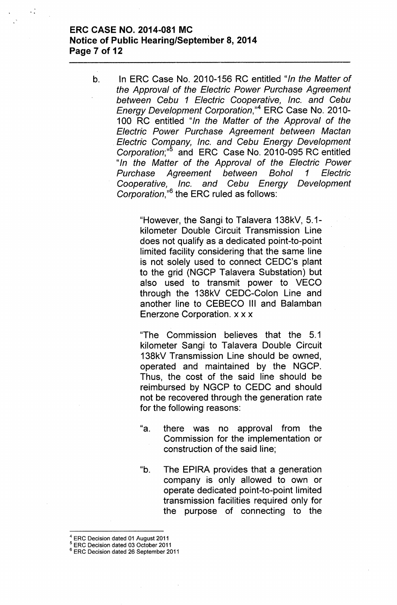# **ERC CASE NO. 2014-081 MC Notice of Public Hearing/September 8, 2014 Page 7 of 12**

b. In ERC Case No. 2010-156 RC entitled *"In the Matter of the Approval of the Electric Power Purchase Agreement between Cebu* 1 *Electric Cooperative, Inc. and Cebu Energy Development Corporation*,"<sup>4</sup> ERC Case No. 2010-100 RC entitled *"In the Matter of the Approval of the Electric Power Purchase Agreement between Mactan .Electric Company, Inc. and Cebu Energy Development Corporation;"S* and ERC Case No. 2010-095 RC entitled *"In the Matter of the Approval of the Electric Power Purchase Agreement between Bohol* 1 *Electric Cooperative, Inc. and Cebu Energy Development* Corporation,<sup>"6</sup> the ERC ruled as follows:

> "However, the Sangi to Talavera 138kV, 5.1 kilometer Double Circuit Transmission Line does not qualify as a dedicated point-to-point limited facility considering that the same line is not solely used to connect CEDC's plant to the grid (NGCP Talavera Substation) but also used to transmit power to VECO through the 138kV CEDC-Colon Line and another line to CEBECO III and Balamban Enerzone Corporation. x x x

> "The Commission believes that the 5.1 kilometer Sangi to Talavera Double Circuit 138kV Transmission Line should be owned, operated and maintained by the NGCP. Thus, the cost of the said line should be reimbursed by NGCP to CEDC and should not be recovered through the generation rate for the following reasons:

- "a. there was no approval from the Commission for the implementation or construction of the said line;
- "b. The EPIRA provides that a generation company is only allowed to own or operate dedicated point-to-point limited transmission facilities required only for the purpose of connecting to the

 $<sup>4</sup>$  ERC Decision dated 01 August 2011</sup>

<sup>&</sup>lt;sup>5</sup> ERC Decision dated 03 October 2011

<sup>&</sup>lt;sup>6</sup> ERC Decision dated 26 September 2011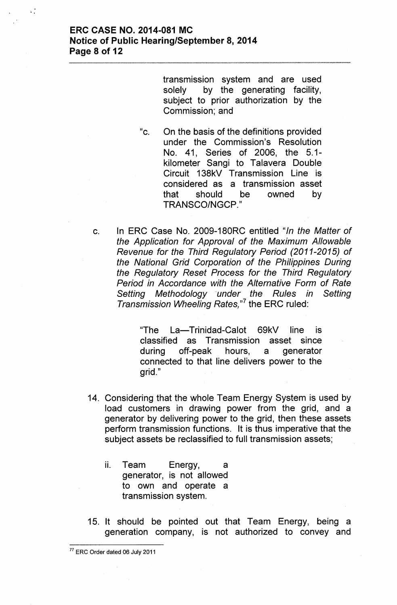transmission system and are used solely by the generating facility, subject to prior authorization by the Commission; and

"c. On the basis of the definitions provided under the Commission's Resolution No. 41, Series of 2006, the 5.1 kilometer Sangi to Talavera Double Circuit 138kV Transmission Line is considered as a transmission asset that should be owned by TRANSCO/NGCP. "

c. In ERC Case No. 2009-180RC entitled *"In the Matter of the Application for Approval of the Maximum Allowable Revenue for the Third Regulatory Period (2011-2015) of the National Grid Corporation of the Philippines During the Regulatory Reset* Process *for the Third Regulatory Period in Accordance with the Alternative Form of Rate Setting Methodology~under the Rules in Setting Transmission Wheeling Rates,"?* the ERC ruled:

> "The La-Trinidad-Calot 69kV line is classified as Transmission asset since during off-peak hours, a generator connected to that line delivers power to the grid."

- 14. Considering that the whole Team Energy System is used by load customers in drawing power from the grid, and a generator by delivering power to the grid, then these assets perform transmission functions. It is thus imperative that the subject assets be reclassified to full transmission assets;
	- ii. Team Energy, a generator, is not allowed to own and operate a transmission system.
- 15. It should be pointed out that Team Energy, being a generation company, is not authorized to convey and

<sup>77</sup> ERC Order dated 06 July 2011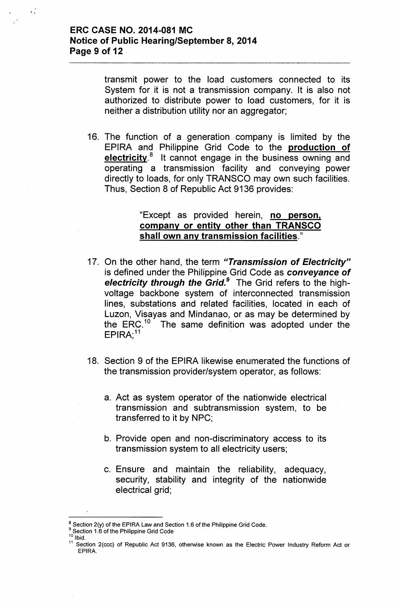¥,

transmit power to the load customers connected to its System for it is not a transmission company. It is also not authorized to distribute power to load customers, for it is neither a distribution utility nor an aggregator;

16. The function of a generation company is limited by the EPIRA and Philippine Grid Code to the production of electricity.<sup>8</sup> It cannot engage in the business owning and operating a transmission facility and conveying power directly to loads, for only TRANSCO may own such facilities. Thus, Section 8 of Republic Act 9136 provides:

## "Except as provided herein, no person, company or entity other than TRANSCO shall own any transmission facilities."

- 17. On the other hand, the term *"Transmission of Electricity"* is defined under the Philippine Grid Code as *conveyance of electricity through the Grid.<sup>9</sup>* The Grid refers to the highvoltage backbone system of interconnected transmission lines, substations and related facilities, located in each of Luzon, Visayas and Mindanao, or as may be determined by the ERC.<sup>10</sup> The same definition was adopted under the  $\mathsf{EPIRA};^1$
- 18. Section 9 of the EPIRA likewise enumerated the functions of the transmission provider/system operator, as follows:
	- a. Act as system operator of the nationwide electrical transmission and subtransmission system, to be transferred to it by NPC;
	- b. Provide open and non-discriminatory access to its transmission system to all electricity users;
	- c. Ensure and maintain the reliability, adequacy, security, stability and integrity of the nationwide electrical grid;

Ibid.

 $8$  Section 2(y) of the EPIRA Law and Section 1.6 of the Philippine Grid Code.

<sup>&</sup>lt;sup>9</sup> Section 1.6 of the Philippine Grid Code

<sup>&</sup>lt;sup>11</sup> Section 2(ccc) of Republic Act 9136, otherwise known as the Electric Power Industry Reform Act or EPIRA.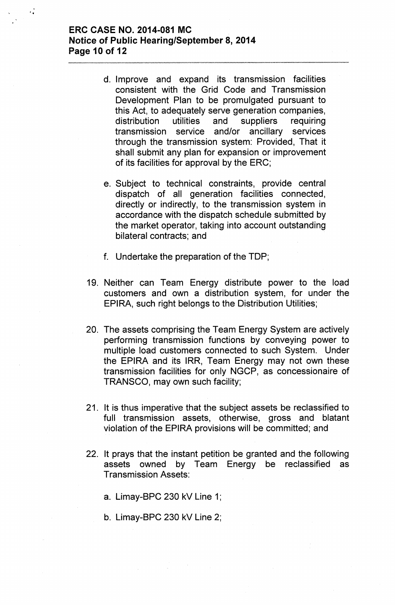## ERC CASE NO. 2014-081 MC Notice of Public Hearing/September 8, 2014 Page 10 of 12

'"

- d. Improve and expand its transmission facilities consistent with the Grid Code and Transmission Development Plan to be promulgated pursuant to this Act, to adequately serve generation companies, distribution utilities and suppliers requiring transmission service and/or ancillary services through the transmission system: Provided, That it shall submit any plan for expansion or improvement of its facilities for approval by the ERC;
- e. Subject to technical constraints, provide central dispatch of all generation facilities connected, directly or indirectly, to the transmission system in accordance with the dispatch schedule submitted by the market operator, taking into account outstanding bilateral contracts; and
- f. Undertake the preparation of the TOP;
- 19. Neither can Team Energy distribute power to the load customers and own a distribution system, for under the EPIRA, such right belongs to the Distribution Utilities;
- 20. The assets comprising the Team Energy System are actively performing transmission functions by conveying power to multiple load customers connected to such System. Under the EPIRA and its IRR, Team Energy may not own these transmission facilities for only NGCP, as concessionaire of TRANSCO, may own such facility;
- 21. It is thus imperative that the subject assets be reclassified to full transmission assets, otherwise, gross and blatant violation of the EPIRA provisions will be committed; and
- 22. It prays that the instant petition be granted and the following assets owned by Team Energy be reclassified as Transmission Assets:
	- a. Limay-BPC 230 kV Line 1;
	- b. Limay-BPC 230 kV Line 2;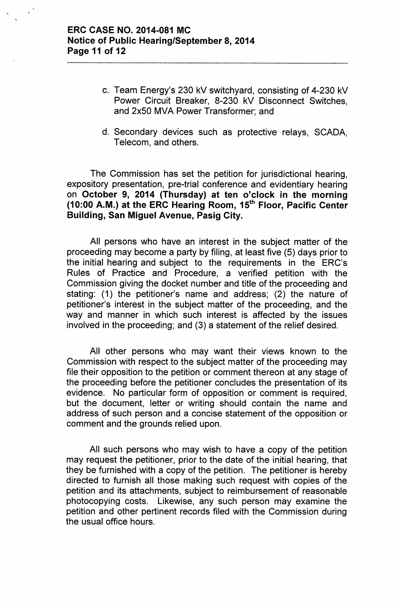## ERC CASE NO. 2014-081 MC Notice of Public Hearing/September 8, 2014 Page 11 of 12

- c. Team Energy's 230 kV switchyard, consisting of 4-230 kV Power Circuit Breaker, 8-230 kV Disconnect Switches, and 2x50 MVA Power Transformer; and
- d. Secondary devices such as protective relays, SCADA, Telecom, and others.

The Commission has set the petition for jurisdictional hearing, expository presentation, pre-trial conference and evidentiary hearing on October 9, 2014 (Thursday) at ten o'clock in the morning (10:00 A.M.) at the ERC Hearing Room, 15th Floor, Pacific Center Building, San Miguel Avenue, Pasig City.

All persons who have an interest in the subject matter of the proceeding may become a party by filing, at least five (5) days prior to the initial hearing and subject to the requirements in the ERC's Rules of Practice and Procedure, a verified petition with the Commission giving the docket number and title of the proceeding and stating: (1) the petitioner's name and address; (2) the nature of petitioner's interest in the subject matter of the proceeding, and the way and manner in which such interest is affected by the issues involved in the proceeding; and (3) a statement of the relief desired.

All other persons who may want their views known to the Commission with respect to the subject matter of the proceeding may file their opposition to the petition or comment thereon at any stage of the proceeding before the petitioner concludes the presentation of its evidence. No particular form of opposition or comment is required, but the document, letter or writing should contain the name and address of such person and a concise statement of the opposition or comment and the grounds relied upon.

All such persons who may wish to have a copy of the petition may request the petitioner, prior to the date of the initial hearing, that they be furnished with a copy of the petition. The petitioner is hereby directed to furnish all those making such request with copies of the petition and its attachments, subject to reimbursement of reasonable photocopying costs. Likewise, any such person may examine the petition and other pertinent records filed with the Commission during the usual office hours.